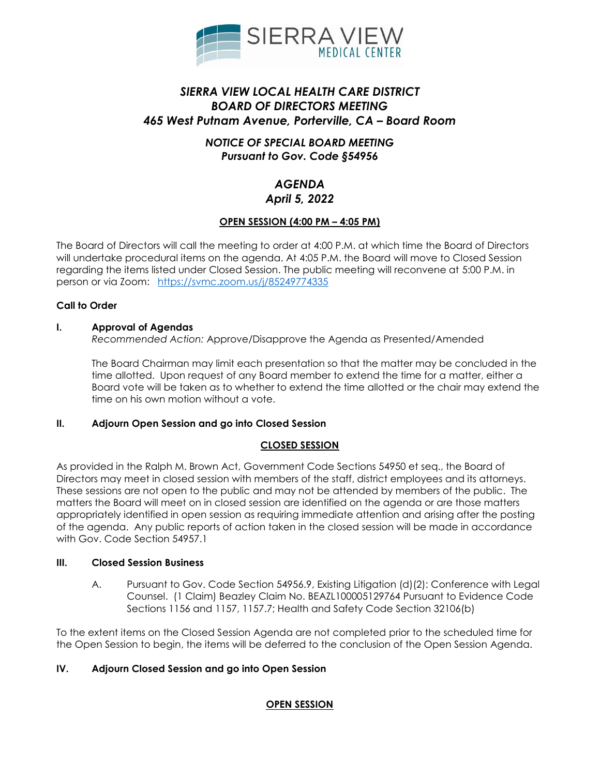

# *SIERRA VIEW LOCAL HEALTH CARE DISTRICT BOARD OF DIRECTORS MEETING 465 West Putnam Avenue, Porterville, CA – Board Room*

## *NOTICE OF SPECIAL BOARD MEETING Pursuant to Gov. Code §54956*

## *AGENDA April 5, 2022*

## **OPEN SESSION (4:00 PM – 4:05 PM)**

The Board of Directors will call the meeting to order at 4:00 P.M. at which time the Board of Directors will undertake procedural items on the agenda. At 4:05 P.M. the Board will move to Closed Session regarding the items listed under Closed Session. The public meeting will reconvene at 5:00 P.M. in person or via Zoom: <https://svmc.zoom.us/j/85249774335>

### **Call to Order**

#### **I. Approval of Agendas**

*Recommended Action:* Approve/Disapprove the Agenda as Presented/Amended

The Board Chairman may limit each presentation so that the matter may be concluded in the time allotted. Upon request of any Board member to extend the time for a matter, either a Board vote will be taken as to whether to extend the time allotted or the chair may extend the time on his own motion without a vote.

### **II. Adjourn Open Session and go into Closed Session**

### **CLOSED SESSION**

As provided in the Ralph M. Brown Act, Government Code Sections 54950 et seq., the Board of Directors may meet in closed session with members of the staff, district employees and its attorneys. These sessions are not open to the public and may not be attended by members of the public. The matters the Board will meet on in closed session are identified on the agenda or are those matters appropriately identified in open session as requiring immediate attention and arising after the posting of the agenda. Any public reports of action taken in the closed session will be made in accordance with Gov. Code Section 54957.1

#### **III. Closed Session Business**

A. Pursuant to Gov. Code Section 54956.9, Existing Litigation (d)(2): Conference with Legal Counsel. (1 Claim) Beazley Claim No. BEAZL100005129764 Pursuant to Evidence Code Sections 1156 and 1157, 1157.7; Health and Safety Code Section 32106(b)

To the extent items on the Closed Session Agenda are not completed prior to the scheduled time for the Open Session to begin, the items will be deferred to the conclusion of the Open Session Agenda.

## **IV. Adjourn Closed Session and go into Open Session**

### **OPEN SESSION**